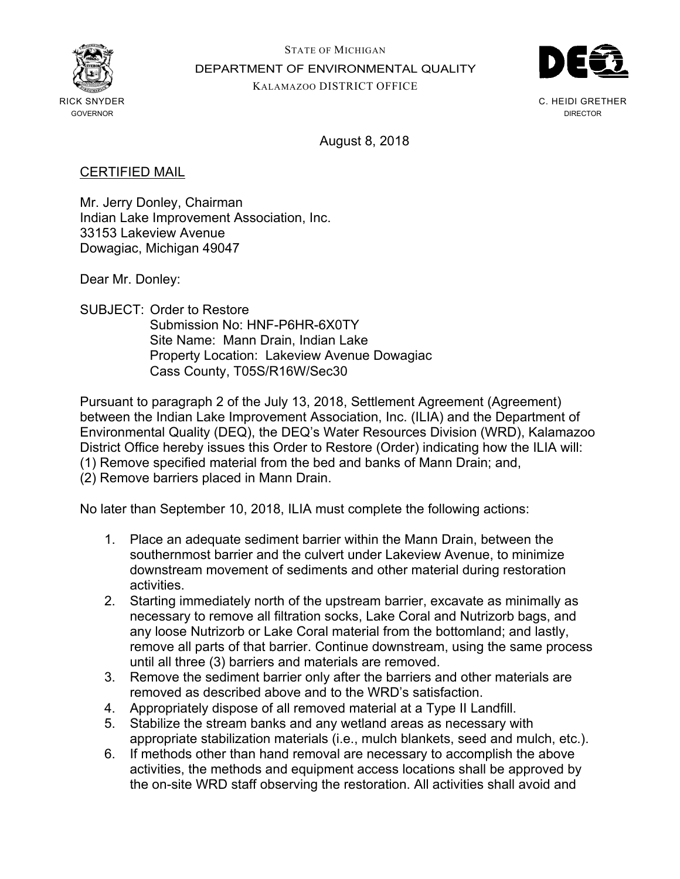

STATE OF MICHIGAN DEPARTMENT OF ENVIRONMENTAL QUALITY KALAMAZOO DISTRICT OFFICE



C. HEIDI GRETHER DIRECTOR

August 8, 2018

## CERTIFIED MAIL

Mr. Jerry Donley, Chairman Indian Lake Improvement Association, Inc. 33153 Lakeview Avenue Dowagiac, Michigan 49047

Dear Mr. Donley:

SUBJECT: Order to Restore Submission No: HNF-P6HR-6X0TY Site Name: Mann Drain, Indian Lake Property Location: Lakeview Avenue Dowagiac Cass County, T05S/R16W/Sec30

Pursuant to paragraph 2 of the July 13, 2018, Settlement Agreement (Agreement) between the Indian Lake Improvement Association, Inc. (ILIA) and the Department of Environmental Quality (DEQ), the DEQ's Water Resources Division (WRD), Kalamazoo District Office hereby issues this Order to Restore (Order) indicating how the ILIA will: (1) Remove specified material from the bed and banks of Mann Drain; and,

(2) Remove barriers placed in Mann Drain.

No later than September 10, 2018, ILIA must complete the following actions:

- 1. Place an adequate sediment barrier within the Mann Drain, between the southernmost barrier and the culvert under Lakeview Avenue, to minimize downstream movement of sediments and other material during restoration activities.
- 2. Starting immediately north of the upstream barrier, excavate as minimally as necessary to remove all filtration socks, Lake Coral and Nutrizorb bags, and any loose Nutrizorb or Lake Coral material from the bottomland; and lastly, remove all parts of that barrier. Continue downstream, using the same process until all three (3) barriers and materials are removed.
- 3. Remove the sediment barrier only after the barriers and other materials are removed as described above and to the WRD's satisfaction.
- 4. Appropriately dispose of all removed material at a Type II Landfill.
- 5. Stabilize the stream banks and any wetland areas as necessary with appropriate stabilization materials (i.e., mulch blankets, seed and mulch, etc.).
- 6. If methods other than hand removal are necessary to accomplish the above activities, the methods and equipment access locations shall be approved by the on-site WRD staff observing the restoration. All activities shall avoid and